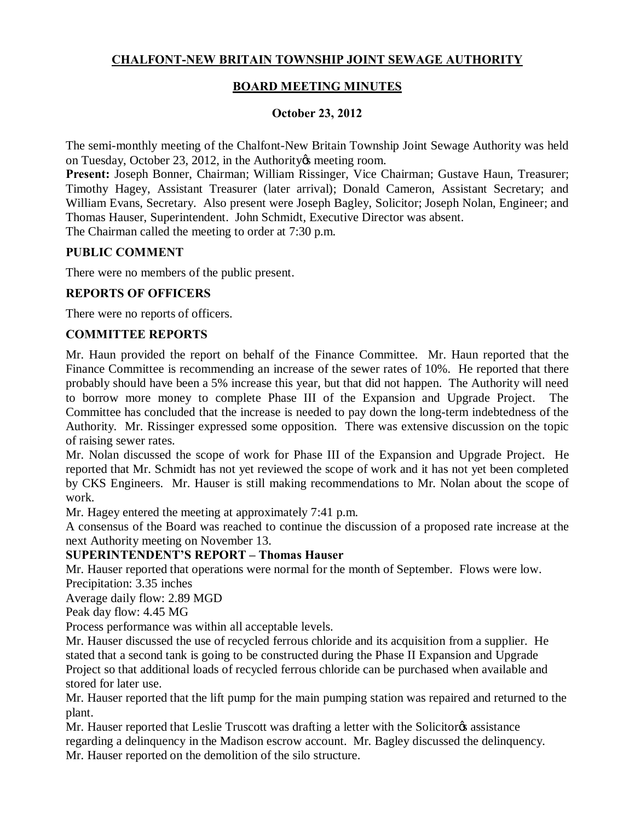# **CHALFONT-NEW BRITAIN TOWNSHIP JOINT SEWAGE AUTHORITY**

## **BOARD MEETING MINUTES**

#### **October 23, 2012**

The semi-monthly meeting of the Chalfont-New Britain Township Joint Sewage Authority was held on Tuesday, October 23, 2012, in the Authority is meeting room.

**Present:** Joseph Bonner, Chairman; William Rissinger, Vice Chairman; Gustave Haun, Treasurer; Timothy Hagey, Assistant Treasurer (later arrival); Donald Cameron, Assistant Secretary; and William Evans, Secretary. Also present were Joseph Bagley, Solicitor; Joseph Nolan, Engineer; and Thomas Hauser, Superintendent. John Schmidt, Executive Director was absent. The Chairman called the meeting to order at 7:30 p.m.

**PUBLIC COMMENT**

There were no members of the public present.

#### **REPORTS OF OFFICERS**

There were no reports of officers.

#### **COMMITTEE REPORTS**

Mr. Haun provided the report on behalf of the Finance Committee. Mr. Haun reported that the Finance Committee is recommending an increase of the sewer rates of 10%. He reported that there probably should have been a 5% increase this year, but that did not happen. The Authority will need to borrow more money to complete Phase III of the Expansion and Upgrade Project. The Committee has concluded that the increase is needed to pay down the long-term indebtedness of the Authority. Mr. Rissinger expressed some opposition. There was extensive discussion on the topic of raising sewer rates.

Mr. Nolan discussed the scope of work for Phase III of the Expansion and Upgrade Project. He reported that Mr. Schmidt has not yet reviewed the scope of work and it has not yet been completed by CKS Engineers. Mr. Hauser is still making recommendations to Mr. Nolan about the scope of work.

Mr. Hagey entered the meeting at approximately 7:41 p.m.

A consensus of the Board was reached to continue the discussion of a proposed rate increase at the next Authority meeting on November 13.

#### **SUPERINTENDENT'S REPORT – Thomas Hauser**

Mr. Hauser reported that operations were normal for the month of September. Flows were low. Precipitation: 3.35 inches

Average daily flow: 2.89 MGD

Peak day flow: 4.45 MG

Process performance was within all acceptable levels.

Mr. Hauser discussed the use of recycled ferrous chloride and its acquisition from a supplier. He stated that a second tank is going to be constructed during the Phase II Expansion and Upgrade Project so that additional loads of recycled ferrous chloride can be purchased when available and stored for later use.

Mr. Hauser reported that the lift pump for the main pumping station was repaired and returned to the plant.

Mr. Hauser reported that Leslie Truscott was drafting a letter with the Solicitor assistance regarding a delinquency in the Madison escrow account. Mr. Bagley discussed the delinquency. Mr. Hauser reported on the demolition of the silo structure.